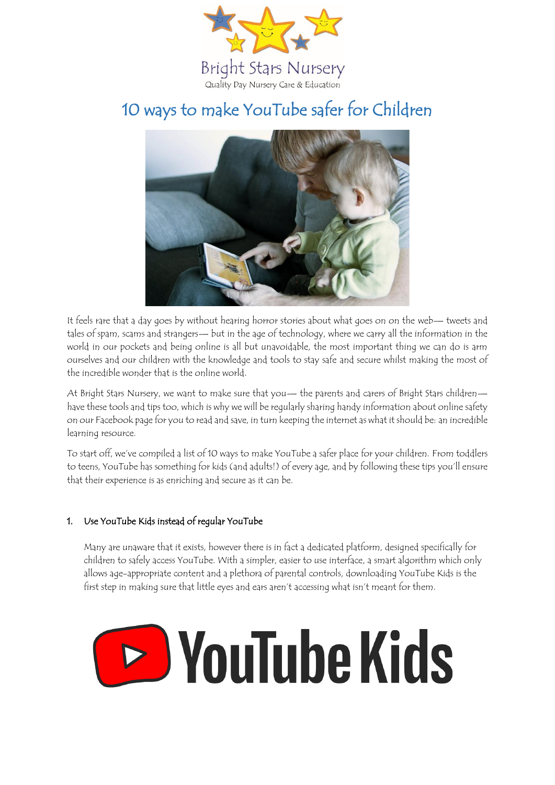

# 10 ways to make YouTube safer for Children



It feels rare that a day goes by without hearing horror stories about what goes on on the web— tweets and tales of spam, scams and strangers— but in the age of technology, where we carry all the information in the world in our pockets and being online is all but unavoidable, the most important thing we can do is arm ourselves and our children with the knowledge and tools to stay safe and secure whilst making the most of the incredible wonder that is the online world.

At Bright Stars Nursery, we want to make sure that you— the parents and carers of Bright Stars children have these tools and tips too, which is why we will be regularly sharing handy information about online safety on our Facebook page for you to read and save, in turn keeping the internet as what it should be: an incredible learning resource.

To start off, we've compiled a list of 10 ways to make YouTube a safer place for your children. From toddlers to teens, YouTube has something for kids (and adults!) of every age, and by following these tips you'll ensure that their experience is as enriching and secure as it can be.

### 1. Use YouTube Kids instead of regular YouTube

Many are unaware that it exists, however there is in fact a dedicated platform, designed specifically for children to safely access YouTube. With a simpler, easier to use interface, a smart algorithm which only allows age-appropriate content and a plethora of parental controls, downloading YouTube Kids is the first step in making sure that little eyes and ears aren't accessing what isn't meant for them.

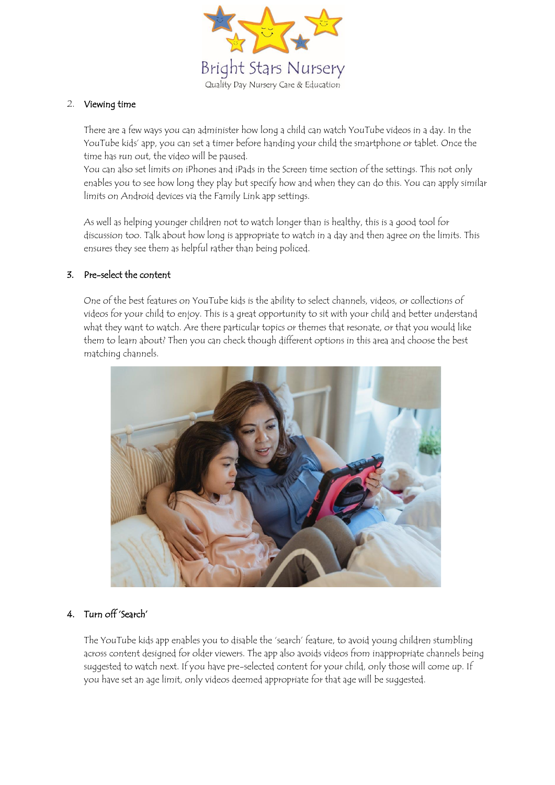

### 2. Viewing time

There are a few ways you can administer how long a child can watch YouTube videos in a day. In the YouTube kids' app, you can set a timer before handing your child the smartphone or tablet. Once the time has run out, the video will be paused.

You can also set limits on iPhones and iPads in the Screen time section of the settings. This not only enables you to see how long they play but specify how and when they can do this. You can apply similar limits on Android devices via the Family Link app settings.

As well as helping younger children not to watch longer than is healthy, this is a good tool for discussion too. Talk about how long is appropriate to watch in a day and then agree on the limits. This ensures they see them as helpful rather than being policed.

### 3. Pre-select the content

One of the best features on YouTube kids is the ability to select channels, videos, or collections of videos for your child to enjoy. This is a great opportunity to sit with your child and better understand what they want to watch. Are there particular topics or themes that resonate, or that you would like them to learn about? Then you can check though different options in this area and choose the best matching channels.



# 4. Turn off 'Search'

The YouTube kids app enables you to disable the 'search' feature, to avoid young children stumbling across content designed for older viewers. The app also avoids videos from inappropriate channels being suggested to watch next. If you have pre-selected content for your child, only those will come up. If you have set an age limit, only videos deemed appropriate for that age will be suggested.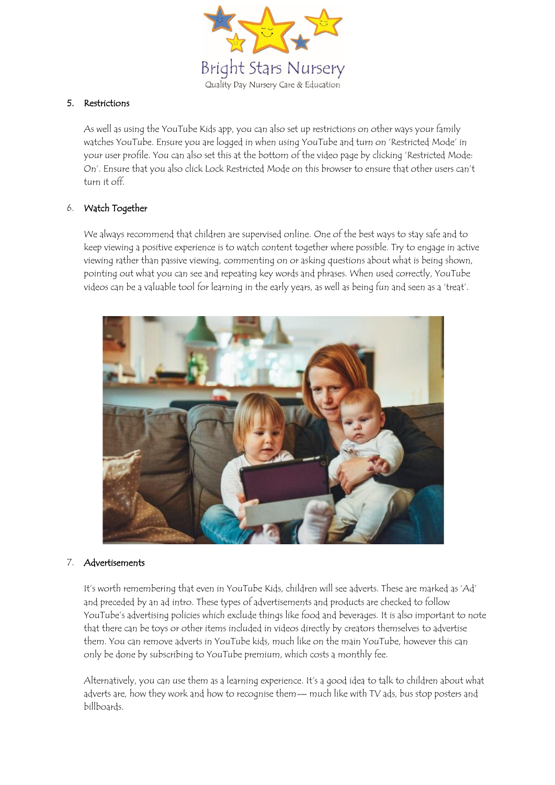

# 5. Restrictions

As well as using the YouTube Kids app, you can also set up restrictions on other ways your family watches YouTube. Ensure you are logged in when using YouTube and turn on 'Restricted Mode' in your user profile. You can also set this at the bottom of the video page by clicking 'Restricted Mode: On'. Ensure that you also click Lock Restricted Mode on this browser to ensure that other users can't turn it off.

### 6. Watch Together

We always recommend that children are supervised online. One of the best ways to stay safe and to keep viewing a positive experience is to watch content together where possible. Try to engage in active viewing rather than passive viewing, commenting on or asking questions about what is being shown, pointing out what you can see and repeating key words and phrases. When used correctly, YouTube videos can be a valuable tool for learning in the early years, as well as being fun and seen as a 'treat'.



#### 7. Advertisements

It's worth remembering that even in YouTube Kids, children will see adverts. These are marked as 'Ad' and preceded by an ad intro. These types of advertisements and products are checked to follow YouTube's advertising policies which exclude things like food and beverages. It is also important to note that there can be toys or other items included in videos directly by creators themselves to advertise them. You can remove adverts in YouTube kids, much like on the main YouTube, however this can only be done by subscribing to YouTube premium, which costs a monthly fee.

Alternatively, you can use them as a learning experience. It's a good idea to talk to children about what adverts are, how they work and how to recognise them— much like with TV ads, bus stop posters and billboards.